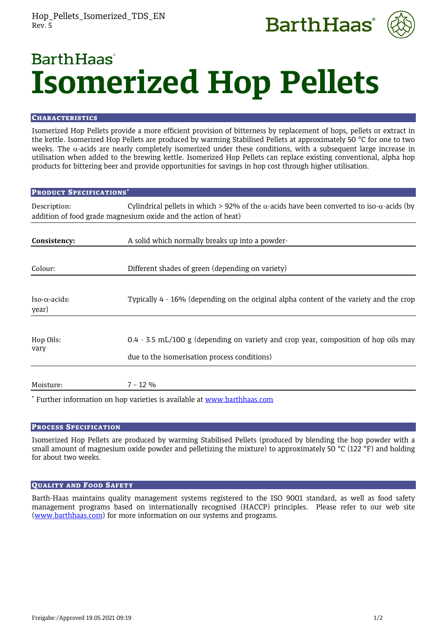



# **Barth Haas Isomerized Hop Pellets**

# **CHARACTERISTICS**

Isomerized Hop Pellets provide a more efficient provision of bitterness by replacement of hops, pellets or extract in the kettle. Isomerized Hop Pellets are produced by warming Stabilised Pellets at approximately 50 °C for one to two weeks. The  $\alpha$ -acids are nearly completely isomerized under these conditions, with a subsequent large increase in utilisation when added to the brewing kettle. Isomerized Hop Pellets can replace existing conventional, alpha hop products for bittering beer and provide opportunities for savings in hop cost through higher utilisation.

# PRODUCT SPECIFICATIONS\* Description: Cylindrical pellets in which > 92% of the  $\alpha$ -acids have been converted to iso- $\alpha$ -acids (by addition of food grade magnesium oxide and the action of heat) **Consistency:** A solid which normally breaks up into a powder-Colour: Different shades of green (depending on variety) Iso- $\alpha$ -acids: Typically 4 - 16% (depending on the original alpha content of the variety and the crop year) Hop Oils: 0.4 - 3.5 mL/100 g (depending on variety and crop year, composition of hop oils may vary due to the isomerisation process conditions) Moisture: 7 – 12 %

\* Further information on hop varieties is available at [www.barthhaas.com](http://www.barthhaas.com/)

# PROCESS SPECIFICATION

Isomerized Hop Pellets are produced by warming Stabilised Pellets (produced by blending the hop powder with a small amount of magnesium oxide powder and pelletizing the mixture) to approximately 50 °C (122 °F) and holding for about two weeks.

# QUALITY AND FOOD SAFETY

Barth-Haas maintains quality management systems registered to the ISO 9001 standard, as well as food safety management programs based on internationally recognised (HACCP) principles. Please refer to our web site [\(www.barthhaas.com\)](http://www.barthhaas.com/) for more information on our systems and programs.